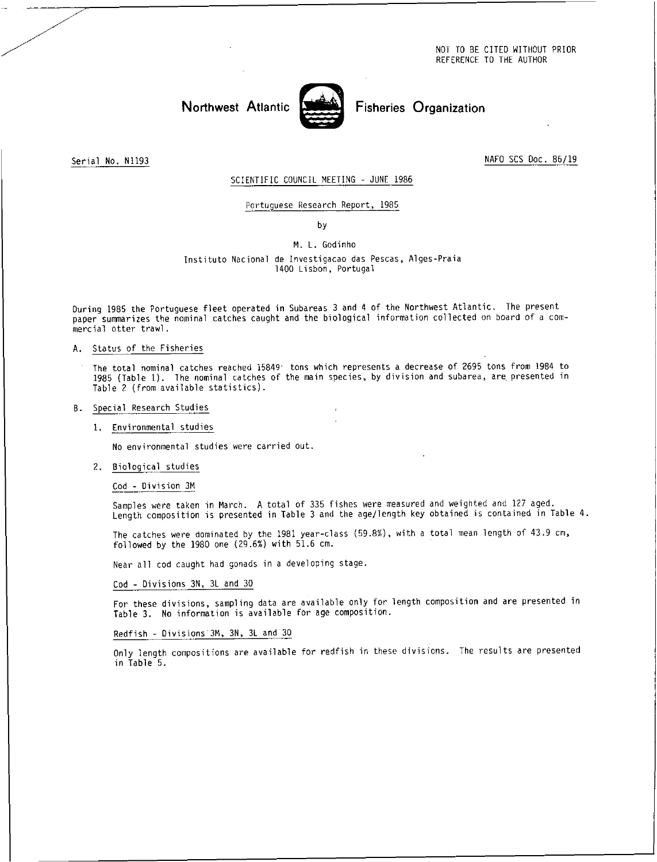NOT TO BE CITED WITHOUT PRIOR REFERENCE TO THE AUTHOR

# Northwest Atlantic **Notified.** Fisheries Organization



Serial No. N1193 NAFO SCS Doc. 86/19

# SCIENTIFIC COUNCIL MEETING - JUNE 1986

#### Portuguese Research Report, 1985

by

# M. L. Godinho

Instituto Nacional de Investigacao das Pescas, Alges-Praia 1400 Lisbon, Portugal

During 1985 the Portuguese fleet operated in Subareas 3 and 4 of the Northwest Atlantic. The present paper summarizes the nominal catches caught and the biological information collected on board of a commercial otter trawl.

# A. Status of the Fisheries

The total nominal catches reached 15849 tons which represents a decrease of 2695 tons from 1984 to 1985 (Table 1). The nominal catches of the main species, by division and subarea, are, presented in Table 2 (from available statistics).

#### B. Special Research Studies

1. Environmental studies

No environmental studies were carried out.

#### 2. Biological studies

#### Cod - Division 3M

Samples were taken in March. A total of 335 fishes were measured and weighted and 127 aged. Length composition is presented in Table 3 and the age/length key obtained is contained in Table 4.

The catches were dominated by the 1981 year-class (59.8%), with a total mean length of 43.9 cm, followed by the 1980 one (29.6%) with 51.6 cm.

Near all cod caught had gonads in a developing stage.

# Cod - Divisions 3N, 3L and 30

For these divisions, sampling data are available only for length composition and are presented in Table 3. No information is available for age composition.

Redfish - Divisions 3M, 3N, 3L and 30

Only length compositions are available for redfish in these divisions. The results are presented in Table 5.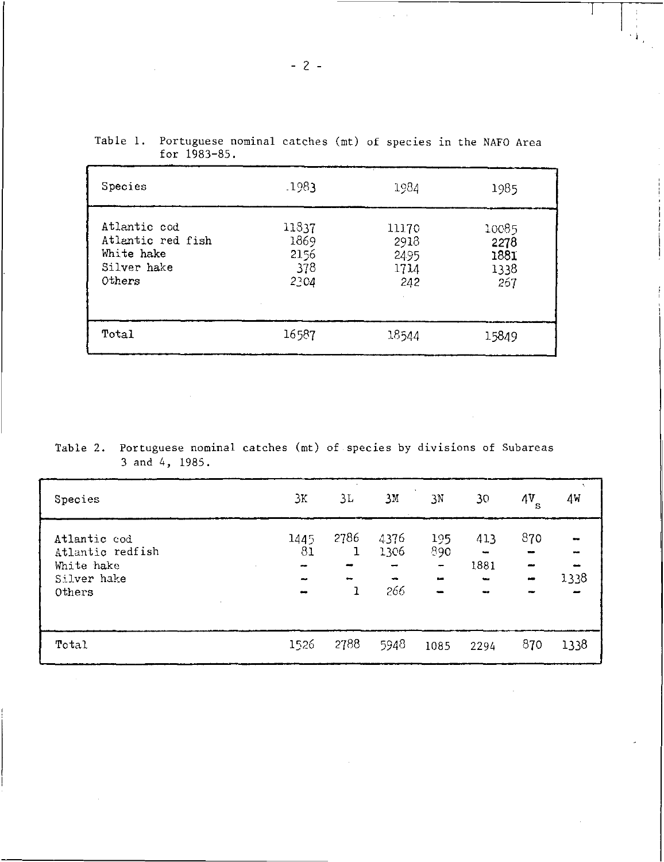| Species                                                                  | .1983                                | 1984                                 | 1985                                 |
|--------------------------------------------------------------------------|--------------------------------------|--------------------------------------|--------------------------------------|
| Atlantic cod<br>Atlantic red fish<br>White hake<br>Silver hake<br>Others | 11837<br>1869<br>2156<br>378<br>2304 | 11170<br>2918<br>2495<br>1714<br>242 | 10085<br>2278<br>1881<br>1338<br>267 |
| Total                                                                    | 16587                                | 18544                                | 15849                                |

Table 1. Portuguese nominal catches (mt) of species in the NATO Area for 1983-85.

Table 2. Portuguese nominal catches (mt) of species by divisions of Subareas 3 and 4, 1985.

| Species                                                                 | ЗΚ                       | 3L                             | 3М                                              | <b>JN</b>                              | 30                                                       | AV                                     | 4 <sub>M</sub> |
|-------------------------------------------------------------------------|--------------------------|--------------------------------|-------------------------------------------------|----------------------------------------|----------------------------------------------------------|----------------------------------------|----------------|
| Atlantic cod<br>Atlantic redfish<br>White hake<br>Silver hake<br>Others | 1445<br>81<br>and i<br>- | 2786<br>ı<br>-<br>$\mathbf{1}$ | 4376<br>1306<br>$\overline{\phantom{a}}$<br>266 | 195<br>890<br>$\overline{\phantom{m}}$ | 413<br>$\overline{\phantom{a}}$<br>1881<br>ta p<br>$-10$ | 870<br>-<br>$\rightarrow$<br>$\bullet$ | w.<br>1338     |
| Total                                                                   | 1526                     | 2788                           | 5948                                            | 1085                                   | 2294                                                     | 870                                    | 1338           |

 $\Delta \sim 300$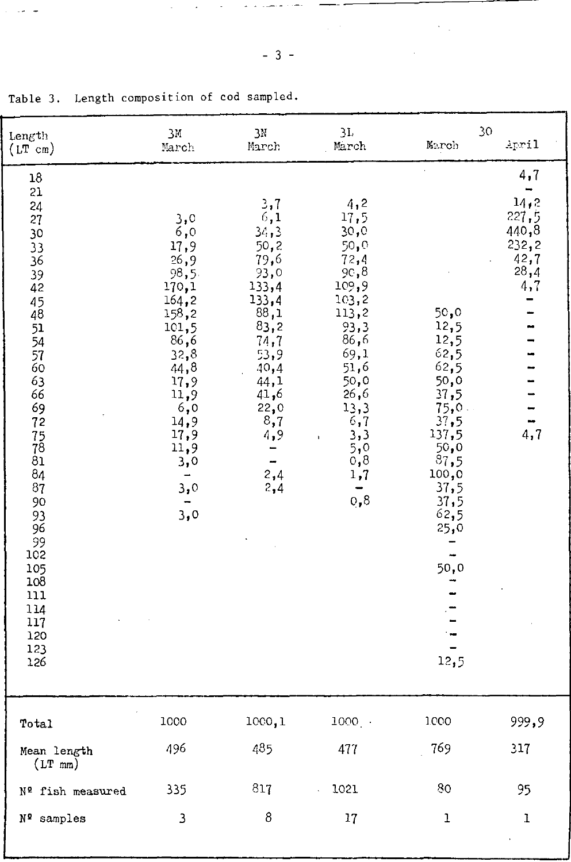| Length<br>$(LT \text{ cm})$                                                                                                                                                                                                                                      | 3M<br>March                                                                                                                                                                                                             | 3N<br>March                                                                                                                                                    | 31,<br>March                                                                                                                                                                                    | 30<br>March                                                                                                                                            | April                                                                                      |
|------------------------------------------------------------------------------------------------------------------------------------------------------------------------------------------------------------------------------------------------------------------|-------------------------------------------------------------------------------------------------------------------------------------------------------------------------------------------------------------------------|----------------------------------------------------------------------------------------------------------------------------------------------------------------|-------------------------------------------------------------------------------------------------------------------------------------------------------------------------------------------------|--------------------------------------------------------------------------------------------------------------------------------------------------------|--------------------------------------------------------------------------------------------|
| $18\,$<br>21<br>24<br>27<br>30<br>33<br>36<br>$\frac{39}{42}$<br>45<br>48<br>51<br>54<br>57<br>60<br>63<br>66<br>69<br>72<br>$^{75}_{78}$<br>$\overline{8}$<br>84<br>87<br>90<br>93<br>96<br>99<br>102<br>105<br>108<br>111<br>$114$<br>117<br>120<br>123<br>126 | 3,0<br>6,0<br>17,9<br>26, 9<br>98,5.<br>170,1<br>164, 2<br>158,2<br>101,5<br>$\bf 86$ , $\bf 6$<br>32,3<br>44,8<br>17,9<br>11,9<br>6,0<br>14,9<br>17,9<br>11,9<br>3,0<br>$\overline{\phantom{a}}$<br>3,0<br>$\bar{3,0}$ | 3,7<br>6,1<br>34,3<br>50, 2<br>79,6<br>93,0<br>133,4<br>133,4<br>88,1<br>83,2<br>74,7<br>53,9<br>40,4<br>44,1<br>41,6<br>22,0<br>8,7<br>4,9<br>-<br>2,4<br>2,4 | 4,2<br>17.5<br>30,0<br>50,0<br>72,4<br>90, 8<br>109,9<br>103, 2<br>113,2<br>93,3<br>86,6<br>69,1<br>51,6<br>50,0<br>26,6<br>13,3<br>6,7<br>3,3<br>$\mathbf{r}$<br>5,0<br>0,8<br>1,7<br>-<br>0,8 | 50,0<br>12,5<br>12,5<br>62,5<br>62,5<br>50,0<br>37,5<br>75,0<br>37,5<br>137,5<br>50,0<br>87,5<br>100,0<br>37,5<br>37,5<br>62,5<br>25,0<br>50,0<br>12,5 | 4,7<br>14,2<br>227,5<br>440,8<br>232,2<br>42,7<br>28,4<br>4,7<br>4,7                       |
| Total                                                                                                                                                                                                                                                            | 1000                                                                                                                                                                                                                    | 1000,1                                                                                                                                                         | $1000 -$                                                                                                                                                                                        | 1,000                                                                                                                                                  | 999,9                                                                                      |
| Mean length<br>$(LT \nm)$                                                                                                                                                                                                                                        | 496                                                                                                                                                                                                                     | 485                                                                                                                                                            | 477                                                                                                                                                                                             | 769                                                                                                                                                    | 317                                                                                        |
| Nº fish measured                                                                                                                                                                                                                                                 | 335                                                                                                                                                                                                                     | 817                                                                                                                                                            | 1021                                                                                                                                                                                            | 80                                                                                                                                                     | 95                                                                                         |
| Nº samples                                                                                                                                                                                                                                                       | 3                                                                                                                                                                                                                       | $\boldsymbol{8}$                                                                                                                                               | 17                                                                                                                                                                                              | 1                                                                                                                                                      | $\mathbf{I}% _{t}\left  \mathbf{I}_{t}\right  =\mathbf{I}_{t}\left  \mathbf{I}_{t}\right $ |

Table 3. Length composition of cod sampled.

 $-3-$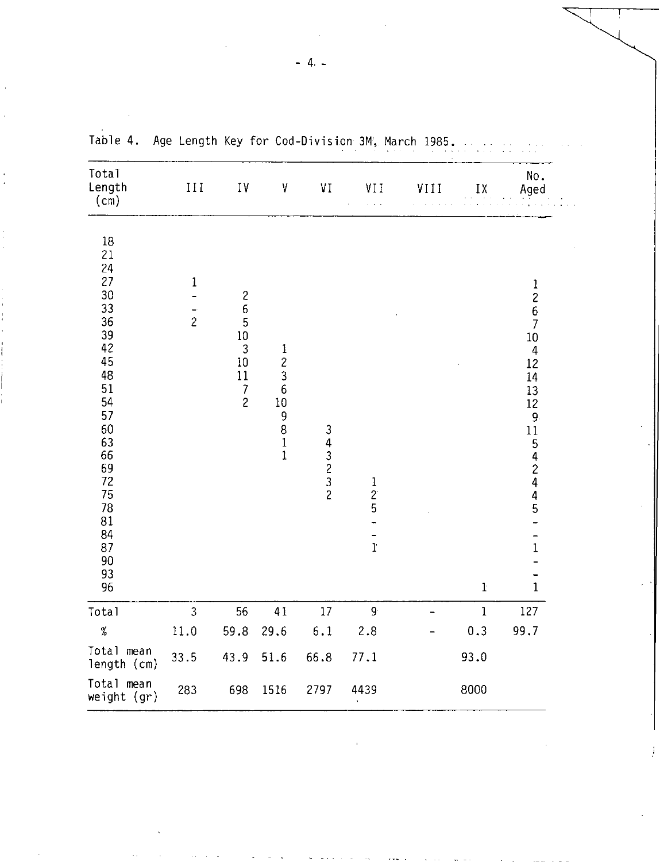| Total<br>Length<br>(cm)                                                                                                                                        | $\coprod$                                       | IV                                                                                                                               | V                                                                                                                 | VI     | <b>VII</b><br>$\sqrt{2}$                    | VIII | IX           | No.<br>Aged                                                                                                                                                             |  |
|----------------------------------------------------------------------------------------------------------------------------------------------------------------|-------------------------------------------------|----------------------------------------------------------------------------------------------------------------------------------|-------------------------------------------------------------------------------------------------------------------|--------|---------------------------------------------|------|--------------|-------------------------------------------------------------------------------------------------------------------------------------------------------------------------|--|
| 18<br>21<br>24<br>27<br>30<br>33<br>36<br>39<br>42<br>45<br>48<br>51<br>54<br>57<br>60<br>63<br>66<br>69<br>72<br>75<br>78<br>81<br>84<br>87<br>90<br>93<br>96 | $\mathbf{1}$<br>$\overline{a}$<br>$\frac{1}{2}$ | $\begin{array}{c} 2 \\ 6 \\ 5 \end{array}$<br>10<br>$\overline{\mathbf{3}}$<br>10<br>11<br>$\begin{array}{c} 7 \\ 2 \end{array}$ | $\mathbf 1$<br>$\overline{c}$<br>$\frac{3}{6}$<br>10<br>$\begin{array}{c} 9 \\ 8 \\ 1 \end{array}$<br>$\mathbf 1$ | 343232 | $\,1$<br>$\frac{2}{5}$<br>-<br>$\mathbf{1}$ |      | $\bf{1}$     | $\begin{array}{c} 1 \\ 2 \\ 6 \\ 7 \end{array}$<br>10<br>$\overline{4}$<br>12<br>14<br>13<br>12<br>9<br>$11\frac{5}{4}$<br>42445 -<br>$\frac{1}{1}$<br>-<br>$\mathbf 1$ |  |
| Total                                                                                                                                                          | $\overline{3}$                                  | 56                                                                                                                               | 41                                                                                                                | 17     | 9 <sup>°</sup>                              |      | $\mathbf{1}$ | 127                                                                                                                                                                     |  |
| $\%$                                                                                                                                                           | 11.0                                            | 59.8                                                                                                                             | 29.6                                                                                                              | 6.1    | 2.8                                         |      | 0.3          | 99.7                                                                                                                                                                    |  |
| Total mean<br>length (cm)                                                                                                                                      | 33.5                                            | 43.9                                                                                                                             | 51.6                                                                                                              | 66.8   | 77.1                                        |      | 93.0         |                                                                                                                                                                         |  |
| Total mean<br>weight $(gr)$                                                                                                                                    | 283                                             | 698                                                                                                                              | 1516                                                                                                              | 2797   | 4439<br>$\mathbf{r}$                        |      | 8000         |                                                                                                                                                                         |  |

Table 4. Age Length Key for Cod-Division 3M, March 1985.

 $\sim$